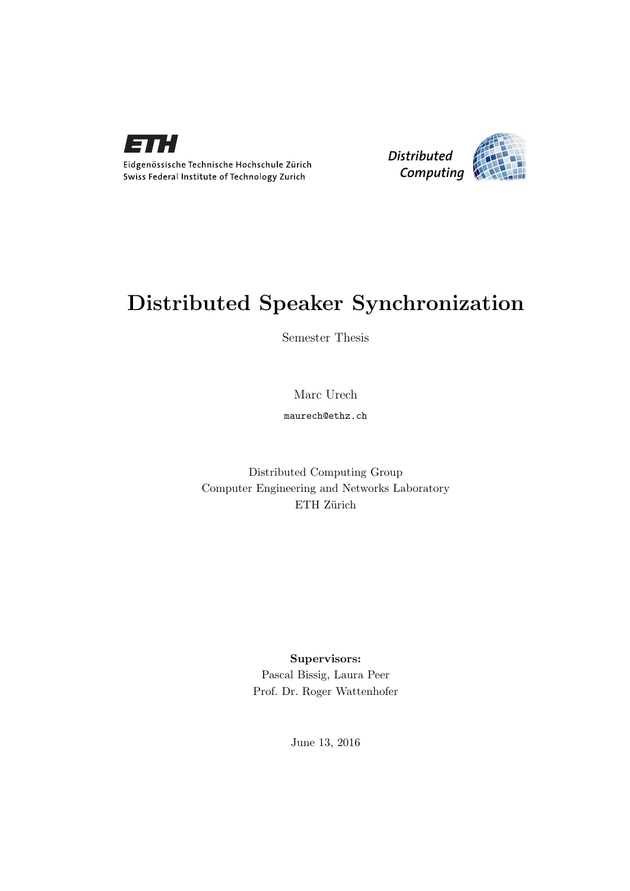



# Distributed Speaker Synchronization

Semester Thesis

Marc Urech

maurech@ethz.ch

Distributed Computing Group Computer Engineering and Networks Laboratory ETH Zürich

> Supervisors: Pascal Bissig, Laura Peer Prof. Dr. Roger Wattenhofer

> > June 13, 2016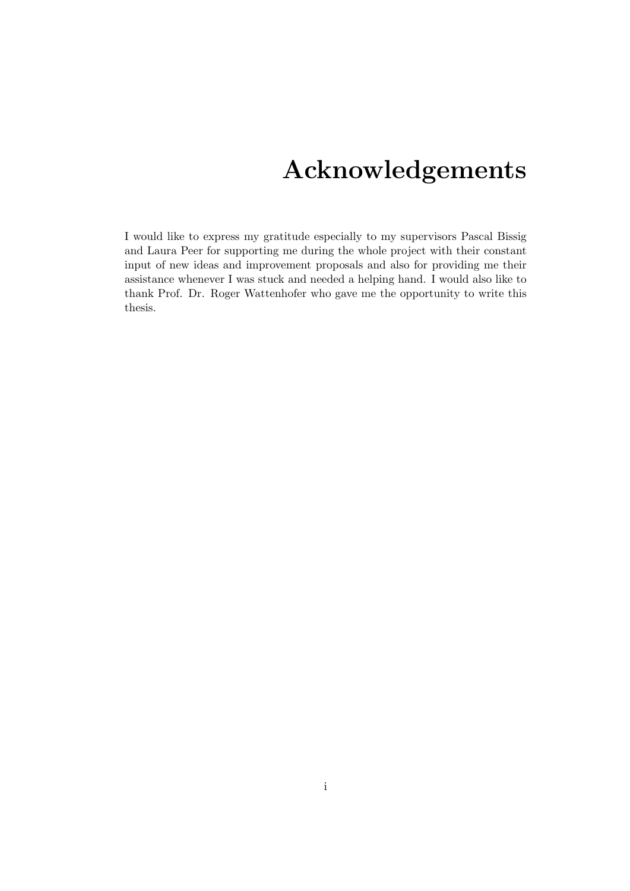# Acknowledgements

I would like to express my gratitude especially to my supervisors Pascal Bissig and Laura Peer for supporting me during the whole project with their constant input of new ideas and improvement proposals and also for providing me their assistance whenever I was stuck and needed a helping hand. I would also like to thank Prof. Dr. Roger Wattenhofer who gave me the opportunity to write this thesis.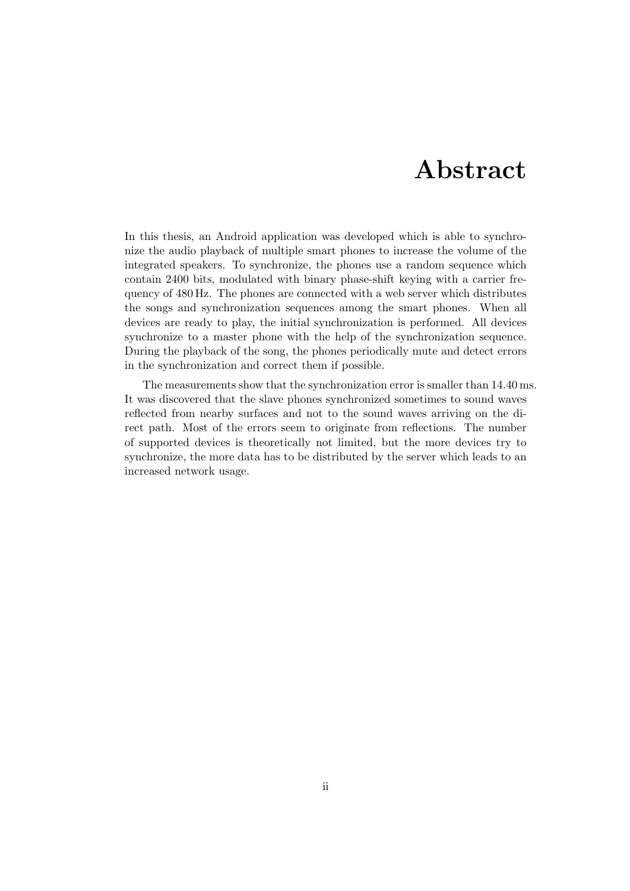# Abstract

In this thesis, an Android application was developed which is able to synchronize the audio playback of multiple smart phones to increase the volume of the integrated speakers. To synchronize, the phones use a random sequence which contain 2400 bits, modulated with binary phase-shift keying with a carrier frequency of 480 Hz. The phones are connected with a web server which distributes the songs and synchronization sequences among the smart phones. When all devices are ready to play, the initial synchronization is performed. All devices synchronize to a master phone with the help of the synchronization sequence. During the playback of the song, the phones periodically mute and detect errors in the synchronization and correct them if possible.

The measurements show that the synchronization error is smaller than 14.40 ms. It was discovered that the slave phones synchronized sometimes to sound waves reflected from nearby surfaces and not to the sound waves arriving on the direct path. Most of the errors seem to originate from reflections. The number of supported devices is theoretically not limited, but the more devices try to synchronize, the more data has to be distributed by the server which leads to an increased network usage.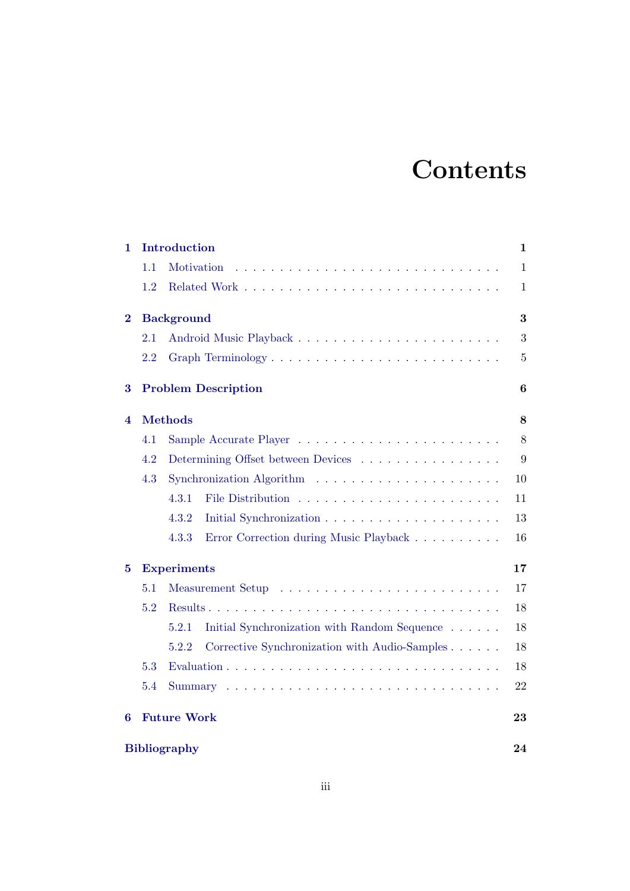# **Contents**

| 1                   |                            | Introduction                       |                                                                              |                |  |  |  |
|---------------------|----------------------------|------------------------------------|------------------------------------------------------------------------------|----------------|--|--|--|
|                     | 1.1                        | Motivation                         |                                                                              | $\mathbf{1}$   |  |  |  |
|                     | 1.2                        |                                    |                                                                              | 1              |  |  |  |
| $\bf{2}$            |                            | <b>Background</b>                  |                                                                              |                |  |  |  |
|                     | 2.1                        |                                    |                                                                              | 3              |  |  |  |
|                     | 2.2                        |                                    |                                                                              | $\overline{5}$ |  |  |  |
| $\bf{3}$            | <b>Problem Description</b> |                                    |                                                                              |                |  |  |  |
| 4                   |                            | 8                                  |                                                                              |                |  |  |  |
|                     | 4.1                        |                                    |                                                                              |                |  |  |  |
|                     | 4.2                        | Determining Offset between Devices |                                                                              |                |  |  |  |
|                     | 4.3                        |                                    | Synchronization Algorithm $\ldots \ldots \ldots \ldots \ldots \ldots \ldots$ | 10             |  |  |  |
|                     |                            | 4.3.1                              |                                                                              | 11             |  |  |  |
|                     |                            | 4.3.2                              |                                                                              | 13             |  |  |  |
|                     |                            | 4.3.3                              | Error Correction during Music Playback                                       | 16             |  |  |  |
| $\bf{5}$            |                            | <b>Experiments</b>                 |                                                                              | 17             |  |  |  |
|                     | 5.1                        |                                    |                                                                              |                |  |  |  |
|                     | 5.2                        |                                    |                                                                              | 18             |  |  |  |
|                     |                            | 5.2.1                              | Initial Synchronization with Random Sequence                                 | 18             |  |  |  |
|                     |                            | 5.2.2                              | Corrective Synchronization with Audio-Samples                                | 18             |  |  |  |
|                     | 5.3                        |                                    |                                                                              | 18             |  |  |  |
|                     | 5.4                        |                                    |                                                                              | 22             |  |  |  |
| 6                   | <b>Future Work</b><br>23   |                                    |                                                                              |                |  |  |  |
| <b>Bibliography</b> |                            |                                    |                                                                              |                |  |  |  |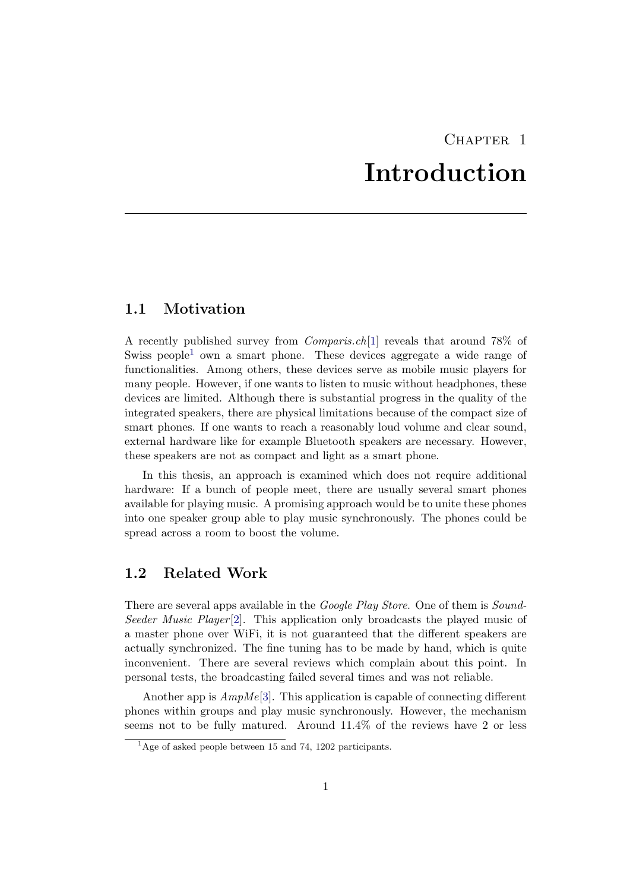# CHAPTER<sub>1</sub> Introduction

### <span id="page-4-1"></span><span id="page-4-0"></span>1.1 Motivation

A recently published survey from Comparis.ch[\[1\]](#page-27-1) reveals that around 78% of Swiss people<sup>[1](#page-4-3)</sup> own a smart phone. These devices aggregate a wide range of functionalities. Among others, these devices serve as mobile music players for many people. However, if one wants to listen to music without headphones, these devices are limited. Although there is substantial progress in the quality of the integrated speakers, there are physical limitations because of the compact size of smart phones. If one wants to reach a reasonably loud volume and clear sound, external hardware like for example Bluetooth speakers are necessary. However, these speakers are not as compact and light as a smart phone.

In this thesis, an approach is examined which does not require additional hardware: If a bunch of people meet, there are usually several smart phones available for playing music. A promising approach would be to unite these phones into one speaker group able to play music synchronously. The phones could be spread across a room to boost the volume.

### <span id="page-4-2"></span>1.2 Related Work

There are several apps available in the *Google Play Store*. One of them is *Sound-*Seeder Music Player [\[2\]](#page-27-2). This application only broadcasts the played music of a master phone over WiFi, it is not guaranteed that the different speakers are actually synchronized. The fine tuning has to be made by hand, which is quite inconvenient. There are several reviews which complain about this point. In personal tests, the broadcasting failed several times and was not reliable.

Another app is  $AmpMe[3]$  $AmpMe[3]$ . This application is capable of connecting different phones within groups and play music synchronously. However, the mechanism seems not to be fully matured. Around 11.4% of the reviews have 2 or less

<span id="page-4-3"></span> $1_{\text{Age of asked people between 15 and 74, 1202 participants.}}$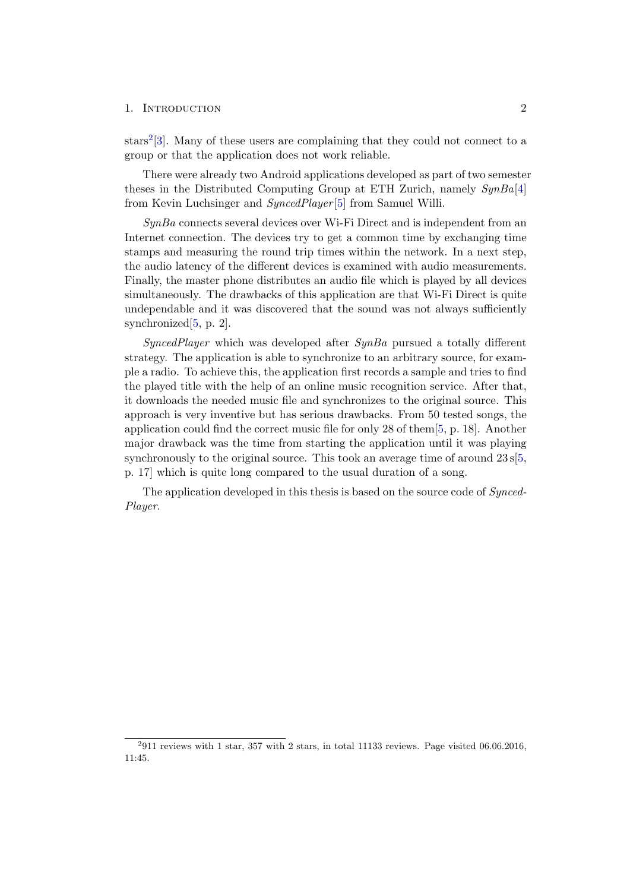#### 1. INTRODUCTION 2

 $\text{stars}^2[3]$  $\text{stars}^2[3]$  $\text{stars}^2[3]$ . Many of these users are complaining that they could not connect to a group or that the application does not work reliable.

There were already two Android applications developed as part of two semester theses in the Distributed Computing Group at ETH Zurich, namely  $SynBa[4]$  $SynBa[4]$ from Kevin Luchsinger and SyncedPlayer [\[5\]](#page-27-5) from Samuel Willi.

 $SynBa$  connects several devices over Wi-Fi Direct and is independent from an Internet connection. The devices try to get a common time by exchanging time stamps and measuring the round trip times within the network. In a next step, the audio latency of the different devices is examined with audio measurements. Finally, the master phone distributes an audio file which is played by all devices simultaneously. The drawbacks of this application are that Wi-Fi Direct is quite undependable and it was discovered that the sound was not always sufficiently synchronized[\[5,](#page-27-5) p. 2].

 $SyncedPlayer$  which was developed after  $SynBa$  pursued a totally different strategy. The application is able to synchronize to an arbitrary source, for example a radio. To achieve this, the application first records a sample and tries to find the played title with the help of an online music recognition service. After that, it downloads the needed music file and synchronizes to the original source. This approach is very inventive but has serious drawbacks. From 50 tested songs, the application could find the correct music file for only 28 of them[\[5,](#page-27-5) p. 18]. Another major drawback was the time from starting the application until it was playing synchronously to the original source. This took an average time of around  $23 \text{ s}/5$ , p. 17] which is quite long compared to the usual duration of a song.

<span id="page-5-0"></span>The application developed in this thesis is based on the source code of *Synced*-Player.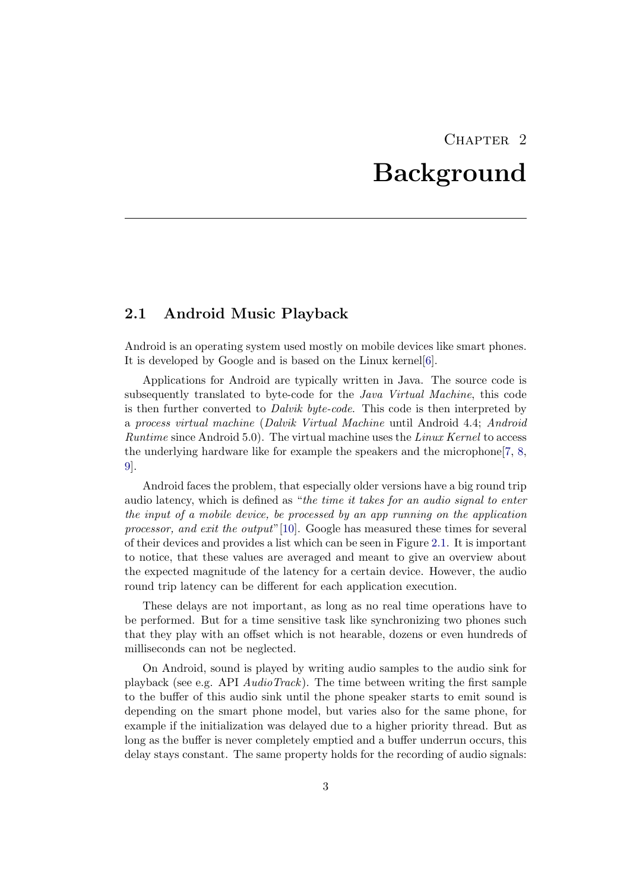# CHAPTER<sub>2</sub> Background

### <span id="page-6-1"></span><span id="page-6-0"></span>2.1 Android Music Playback

Android is an operating system used mostly on mobile devices like smart phones. It is developed by Google and is based on the Linux kernel[\[6\]](#page-27-6).

Applications for Android are typically written in Java. The source code is subsequently translated to byte-code for the Java Virtual Machine, this code is then further converted to Dalvik byte-code. This code is then interpreted by a process virtual machine (Dalvik Virtual Machine until Android 4.4; Android Runtime since Android 5.0). The virtual machine uses the Linux Kernel to access the underlying hardware like for example the speakers and the microphone[\[7,](#page-27-7) [8,](#page-27-8) [9\]](#page-27-9).

Android faces the problem, that especially older versions have a big round trip audio latency, which is defined as "the time it takes for an audio signal to enter the input of a mobile device, be processed by an app running on the application processor, and exit the output"[\[10\]](#page-27-10). Google has measured these times for several of their devices and provides a list which can be seen in Figure [2.1.](#page-7-0) It is important to notice, that these values are averaged and meant to give an overview about the expected magnitude of the latency for a certain device. However, the audio round trip latency can be different for each application execution.

These delays are not important, as long as no real time operations have to be performed. But for a time sensitive task like synchronizing two phones such that they play with an offset which is not hearable, dozens or even hundreds of milliseconds can not be neglected.

On Android, sound is played by writing audio samples to the audio sink for playback (see e.g. API  $AudioTrack)$ ). The time between writing the first sample to the buffer of this audio sink until the phone speaker starts to emit sound is depending on the smart phone model, but varies also for the same phone, for example if the initialization was delayed due to a higher priority thread. But as long as the buffer is never completely emptied and a buffer underrun occurs, this delay stays constant. The same property holds for the recording of audio signals: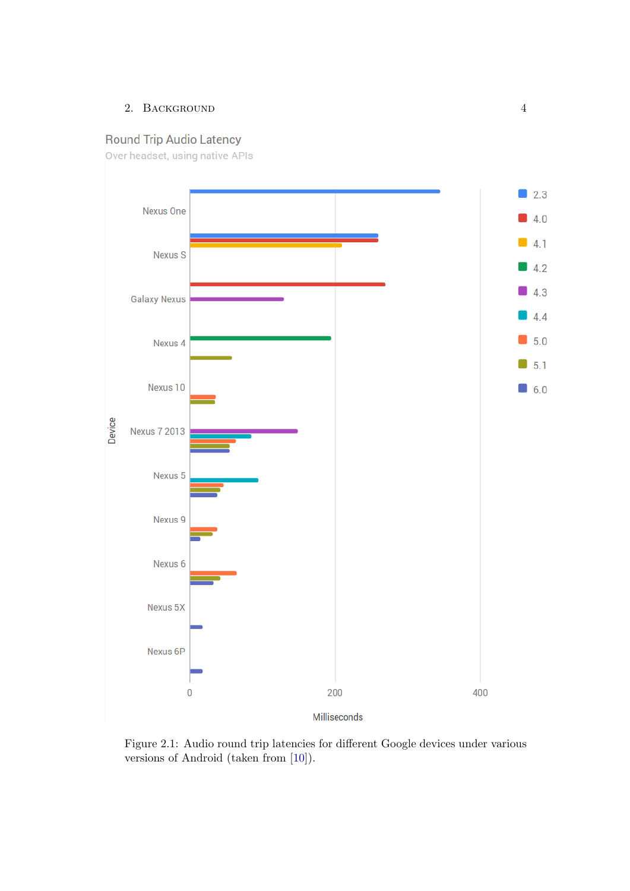### 2. BACKGROUND 4

# **Round Trip Audio Latency**

Over headset, using native APIs



<span id="page-7-0"></span>Figure 2.1: Audio round trip latencies for different Google devices under various versions of Android (taken from [\[10\]](#page-27-10)).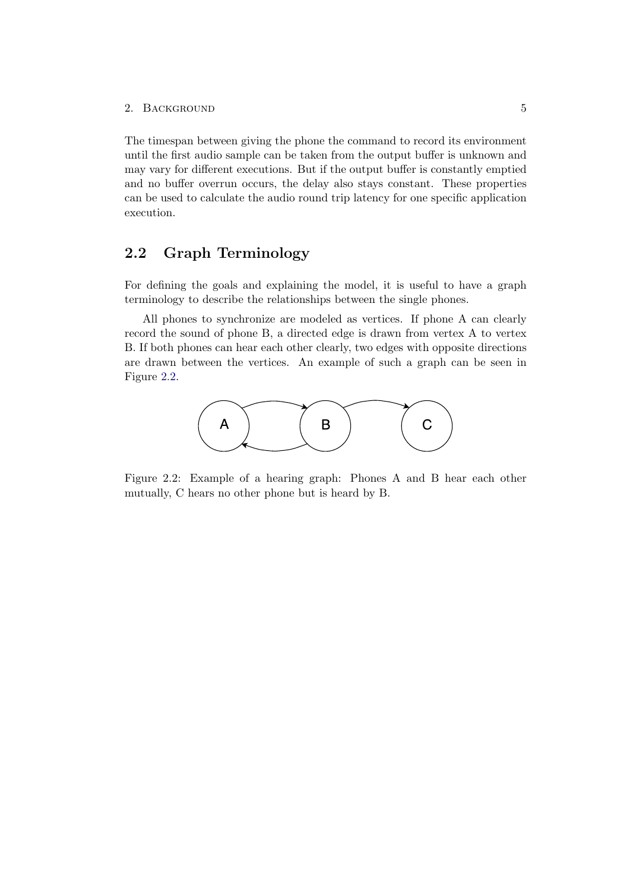The timespan between giving the phone the command to record its environment until the first audio sample can be taken from the output buffer is unknown and may vary for different executions. But if the output buffer is constantly emptied and no buffer overrun occurs, the delay also stays constant. These properties can be used to calculate the audio round trip latency for one specific application execution.

### <span id="page-8-0"></span>2.2 Graph Terminology

For defining the goals and explaining the model, it is useful to have a graph terminology to describe the relationships between the single phones.

All phones to synchronize are modeled as vertices. If phone A can clearly record the sound of phone B, a directed edge is drawn from vertex A to vertex B. If both phones can hear each other clearly, two edges with opposite directions are drawn between the vertices. An example of such a graph can be seen in Figure [2.2.](#page-8-1)



<span id="page-8-1"></span>Figure 2.2: Example of a hearing graph: Phones A and B hear each other mutually, C hears no other phone but is heard by B.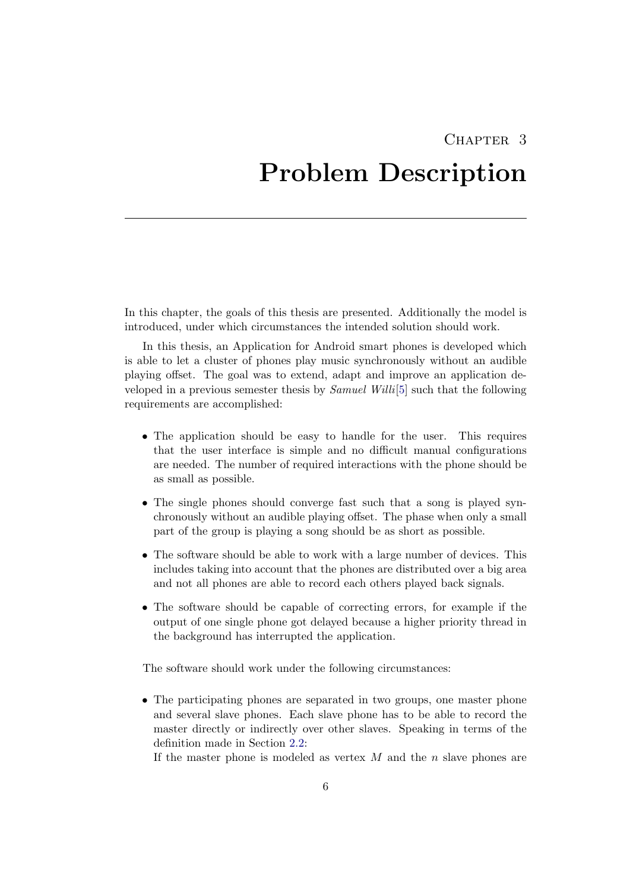# CHAPTER<sub>3</sub>

# <span id="page-9-0"></span>Problem Description

In this chapter, the goals of this thesis are presented. Additionally the model is introduced, under which circumstances the intended solution should work.

In this thesis, an Application for Android smart phones is developed which is able to let a cluster of phones play music synchronously without an audible playing offset. The goal was to extend, adapt and improve an application developed in a previous semester thesis by  $Samuel Willi[5]$  $Samuel Willi[5]$  such that the following requirements are accomplished:

- The application should be easy to handle for the user. This requires that the user interface is simple and no difficult manual configurations are needed. The number of required interactions with the phone should be as small as possible.
- The single phones should converge fast such that a song is played synchronously without an audible playing offset. The phase when only a small part of the group is playing a song should be as short as possible.
- The software should be able to work with a large number of devices. This includes taking into account that the phones are distributed over a big area and not all phones are able to record each others played back signals.
- The software should be capable of correcting errors, for example if the output of one single phone got delayed because a higher priority thread in the background has interrupted the application.

The software should work under the following circumstances:

• The participating phones are separated in two groups, one master phone and several slave phones. Each slave phone has to be able to record the master directly or indirectly over other slaves. Speaking in terms of the definition made in Section [2.2:](#page-8-0)

If the master phone is modeled as vertex  $M$  and the n slave phones are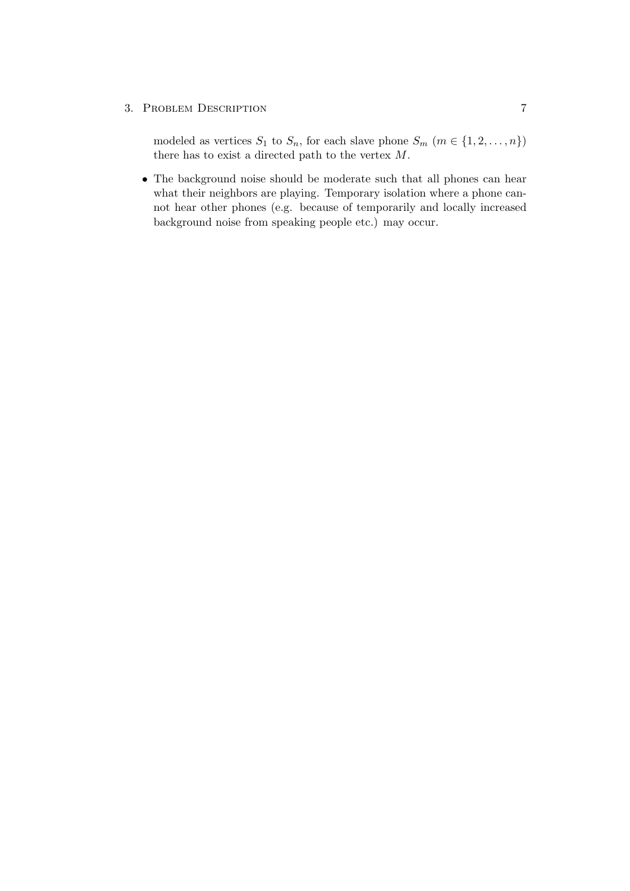#### 3. PROBLEM DESCRIPTION 7

modeled as vertices  $S_1$  to  $S_n$ , for each slave phone  $S_m$   $(m \in \{1, 2, ..., n\})$ there has to exist a directed path to the vertex M.

• The background noise should be moderate such that all phones can hear what their neighbors are playing. Temporary isolation where a phone cannot hear other phones (e.g. because of temporarily and locally increased background noise from speaking people etc.) may occur.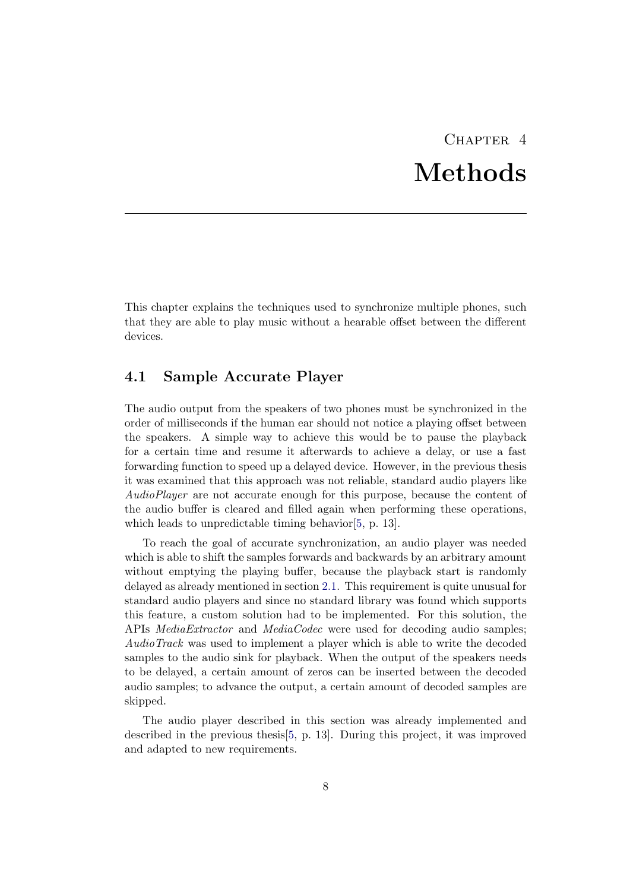# CHAPTER<sub>4</sub> Methods

<span id="page-11-0"></span>This chapter explains the techniques used to synchronize multiple phones, such that they are able to play music without a hearable offset between the different devices.

### <span id="page-11-1"></span>4.1 Sample Accurate Player

The audio output from the speakers of two phones must be synchronized in the order of milliseconds if the human ear should not notice a playing offset between the speakers. A simple way to achieve this would be to pause the playback for a certain time and resume it afterwards to achieve a delay, or use a fast forwarding function to speed up a delayed device. However, in the previous thesis it was examined that this approach was not reliable, standard audio players like AudioPlayer are not accurate enough for this purpose, because the content of the audio buffer is cleared and filled again when performing these operations, which leads to unpredictable timing behavior [\[5,](#page-27-5) p. 13].

To reach the goal of accurate synchronization, an audio player was needed which is able to shift the samples forwards and backwards by an arbitrary amount without emptying the playing buffer, because the playback start is randomly delayed as already mentioned in section [2.1.](#page-6-1) This requirement is quite unusual for standard audio players and since no standard library was found which supports this feature, a custom solution had to be implemented. For this solution, the APIs MediaExtractor and MediaCodec were used for decoding audio samples; AudioTrack was used to implement a player which is able to write the decoded samples to the audio sink for playback. When the output of the speakers needs to be delayed, a certain amount of zeros can be inserted between the decoded audio samples; to advance the output, a certain amount of decoded samples are skipped.

The audio player described in this section was already implemented and described in the previous thesis[\[5,](#page-27-5) p. 13]. During this project, it was improved and adapted to new requirements.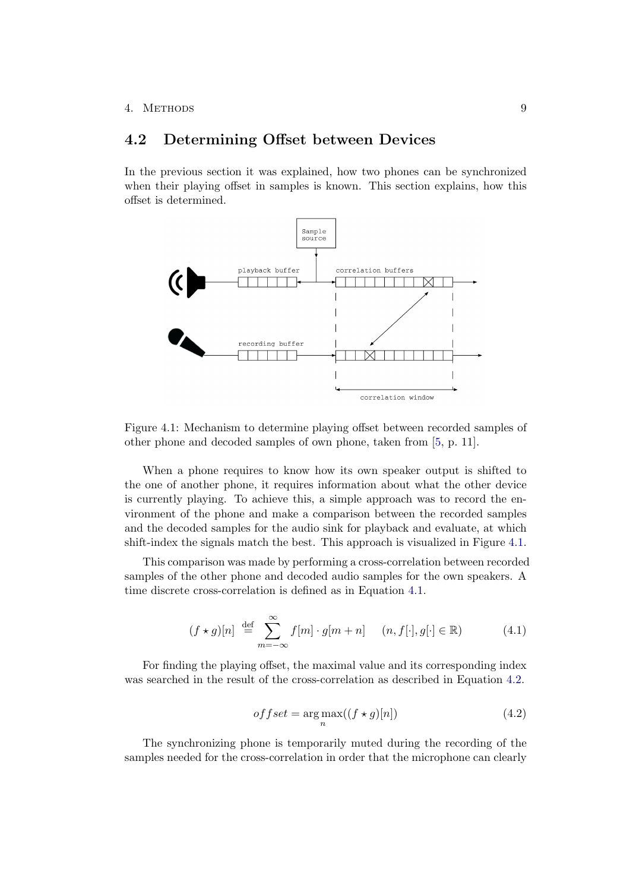### <span id="page-12-0"></span>4.2 Determining Offset between Devices

In the previous section it was explained, how two phones can be synchronized when their playing offset in samples is known. This section explains, how this offset is determined.



<span id="page-12-1"></span>Figure 4.1: Mechanism to determine playing offset between recorded samples of other phone and decoded samples of own phone, taken from [\[5,](#page-27-5) p. 11].

When a phone requires to know how its own speaker output is shifted to the one of another phone, it requires information about what the other device is currently playing. To achieve this, a simple approach was to record the environment of the phone and make a comparison between the recorded samples and the decoded samples for the audio sink for playback and evaluate, at which shift-index the signals match the best. This approach is visualized in Figure [4.1.](#page-12-1)

This comparison was made by performing a cross-correlation between recorded samples of the other phone and decoded audio samples for the own speakers. A time discrete cross-correlation is defined as in Equation [4.1.](#page-12-2)

<span id="page-12-2"></span>
$$
(f \star g)[n] \stackrel{\text{def}}{=} \sum_{m=-\infty}^{\infty} f[m] \cdot g[m+n] \quad (n, f[\cdot], g[\cdot] \in \mathbb{R}) \tag{4.1}
$$

For finding the playing offset, the maximal value and its corresponding index was searched in the result of the cross-correlation as described in Equation [4.2.](#page-12-3)

<span id="page-12-3"></span>
$$
offset = \underset{n}{\arg \max}((f \star g)[n]) \tag{4.2}
$$

The synchronizing phone is temporarily muted during the recording of the samples needed for the cross-correlation in order that the microphone can clearly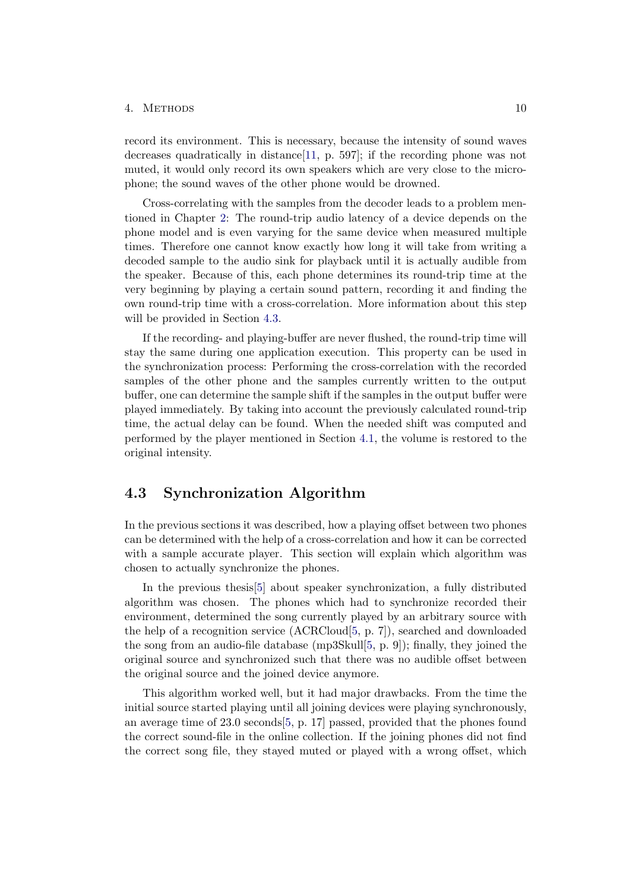record its environment. This is necessary, because the intensity of sound waves decreases quadratically in distance[\[11,](#page-27-11) p. 597]; if the recording phone was not muted, it would only record its own speakers which are very close to the microphone; the sound waves of the other phone would be drowned.

Cross-correlating with the samples from the decoder leads to a problem mentioned in Chapter [2:](#page-6-0) The round-trip audio latency of a device depends on the phone model and is even varying for the same device when measured multiple times. Therefore one cannot know exactly how long it will take from writing a decoded sample to the audio sink for playback until it is actually audible from the speaker. Because of this, each phone determines its round-trip time at the very beginning by playing a certain sound pattern, recording it and finding the own round-trip time with a cross-correlation. More information about this step will be provided in Section [4.3.](#page-13-0)

If the recording- and playing-buffer are never flushed, the round-trip time will stay the same during one application execution. This property can be used in the synchronization process: Performing the cross-correlation with the recorded samples of the other phone and the samples currently written to the output buffer, one can determine the sample shift if the samples in the output buffer were played immediately. By taking into account the previously calculated round-trip time, the actual delay can be found. When the needed shift was computed and performed by the player mentioned in Section [4.1,](#page-11-1) the volume is restored to the original intensity.

### <span id="page-13-0"></span>4.3 Synchronization Algorithm

In the previous sections it was described, how a playing offset between two phones can be determined with the help of a cross-correlation and how it can be corrected with a sample accurate player. This section will explain which algorithm was chosen to actually synchronize the phones.

In the previous thesis[\[5\]](#page-27-5) about speaker synchronization, a fully distributed algorithm was chosen. The phones which had to synchronize recorded their environment, determined the song currently played by an arbitrary source with the help of a recognition service (ACRCloud[\[5,](#page-27-5) p. 7]), searched and downloaded the song from an audio-file database (mp3Skull[\[5,](#page-27-5) p. 9]); finally, they joined the original source and synchronized such that there was no audible offset between the original source and the joined device anymore.

This algorithm worked well, but it had major drawbacks. From the time the initial source started playing until all joining devices were playing synchronously, an average time of 23.0 seconds[\[5,](#page-27-5) p. 17] passed, provided that the phones found the correct sound-file in the online collection. If the joining phones did not find the correct song file, they stayed muted or played with a wrong offset, which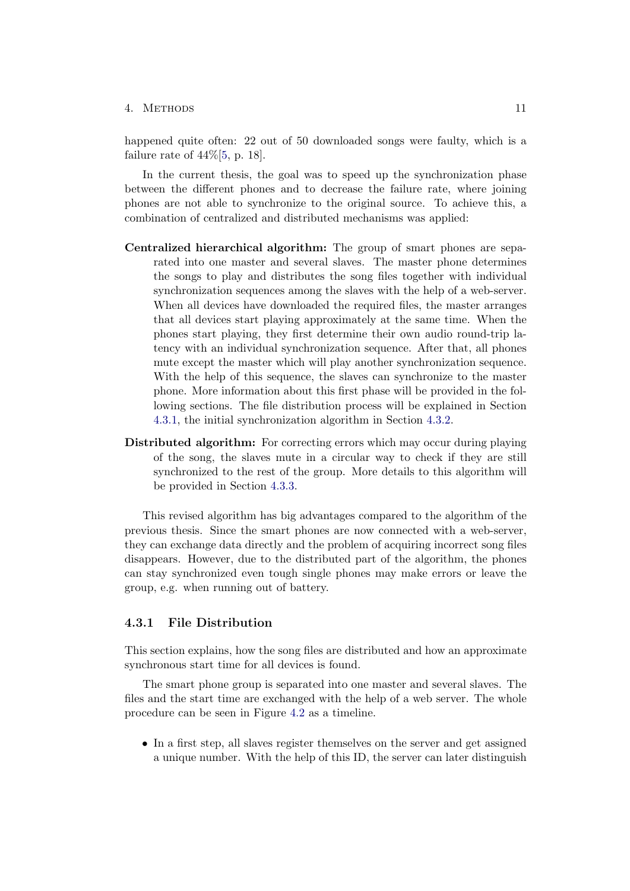happened quite often: 22 out of 50 downloaded songs were faulty, which is a failure rate of  $44\%$ [\[5,](#page-27-5) p. 18].

In the current thesis, the goal was to speed up the synchronization phase between the different phones and to decrease the failure rate, where joining phones are not able to synchronize to the original source. To achieve this, a combination of centralized and distributed mechanisms was applied:

- Centralized hierarchical algorithm: The group of smart phones are separated into one master and several slaves. The master phone determines the songs to play and distributes the song files together with individual synchronization sequences among the slaves with the help of a web-server. When all devices have downloaded the required files, the master arranges that all devices start playing approximately at the same time. When the phones start playing, they first determine their own audio round-trip latency with an individual synchronization sequence. After that, all phones mute except the master which will play another synchronization sequence. With the help of this sequence, the slaves can synchronize to the master phone. More information about this first phase will be provided in the following sections. The file distribution process will be explained in Section [4.3.1,](#page-14-0) the initial synchronization algorithm in Section [4.3.2.](#page-16-0)
- Distributed algorithm: For correcting errors which may occur during playing of the song, the slaves mute in a circular way to check if they are still synchronized to the rest of the group. More details to this algorithm will be provided in Section [4.3.3.](#page-19-0)

This revised algorithm has big advantages compared to the algorithm of the previous thesis. Since the smart phones are now connected with a web-server, they can exchange data directly and the problem of acquiring incorrect song files disappears. However, due to the distributed part of the algorithm, the phones can stay synchronized even tough single phones may make errors or leave the group, e.g. when running out of battery.

#### <span id="page-14-0"></span>4.3.1 File Distribution

This section explains, how the song files are distributed and how an approximate synchronous start time for all devices is found.

The smart phone group is separated into one master and several slaves. The files and the start time are exchanged with the help of a web server. The whole procedure can be seen in Figure [4.2](#page-15-0) as a timeline.

• In a first step, all slaves register themselves on the server and get assigned a unique number. With the help of this ID, the server can later distinguish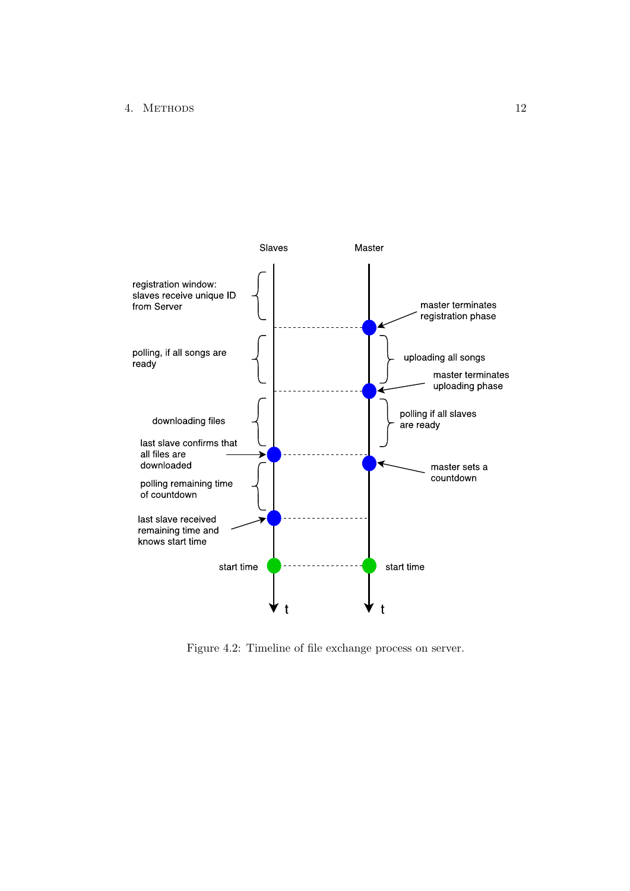

<span id="page-15-0"></span>Figure 4.2: Timeline of file exchange process on server.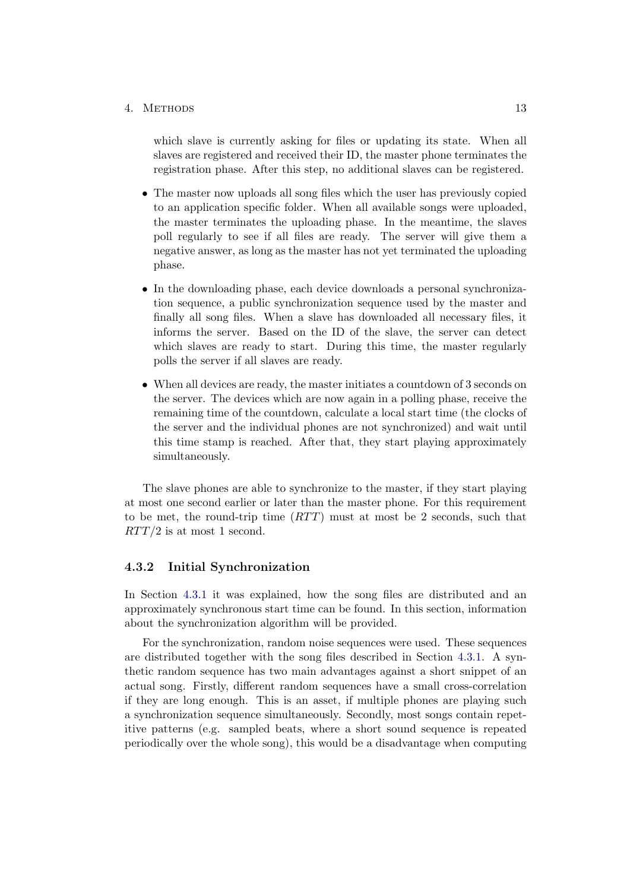which slave is currently asking for files or updating its state. When all slaves are registered and received their ID, the master phone terminates the registration phase. After this step, no additional slaves can be registered.

- The master now uploads all song files which the user has previously copied to an application specific folder. When all available songs were uploaded, the master terminates the uploading phase. In the meantime, the slaves poll regularly to see if all files are ready. The server will give them a negative answer, as long as the master has not yet terminated the uploading phase.
- In the downloading phase, each device downloads a personal synchronization sequence, a public synchronization sequence used by the master and finally all song files. When a slave has downloaded all necessary files, it informs the server. Based on the ID of the slave, the server can detect which slaves are ready to start. During this time, the master regularly polls the server if all slaves are ready.
- When all devices are ready, the master initiates a countdown of 3 seconds on the server. The devices which are now again in a polling phase, receive the remaining time of the countdown, calculate a local start time (the clocks of the server and the individual phones are not synchronized) and wait until this time stamp is reached. After that, they start playing approximately simultaneously.

The slave phones are able to synchronize to the master, if they start playing at most one second earlier or later than the master phone. For this requirement to be met, the round-trip time  $(RTT)$  must at most be 2 seconds, such that  $RTT/2$  is at most 1 second.

#### <span id="page-16-0"></span>4.3.2 Initial Synchronization

In Section [4.3.1](#page-14-0) it was explained, how the song files are distributed and an approximately synchronous start time can be found. In this section, information about the synchronization algorithm will be provided.

For the synchronization, random noise sequences were used. These sequences are distributed together with the song files described in Section [4.3.1.](#page-14-0) A synthetic random sequence has two main advantages against a short snippet of an actual song. Firstly, different random sequences have a small cross-correlation if they are long enough. This is an asset, if multiple phones are playing such a synchronization sequence simultaneously. Secondly, most songs contain repetitive patterns (e.g. sampled beats, where a short sound sequence is repeated periodically over the whole song), this would be a disadvantage when computing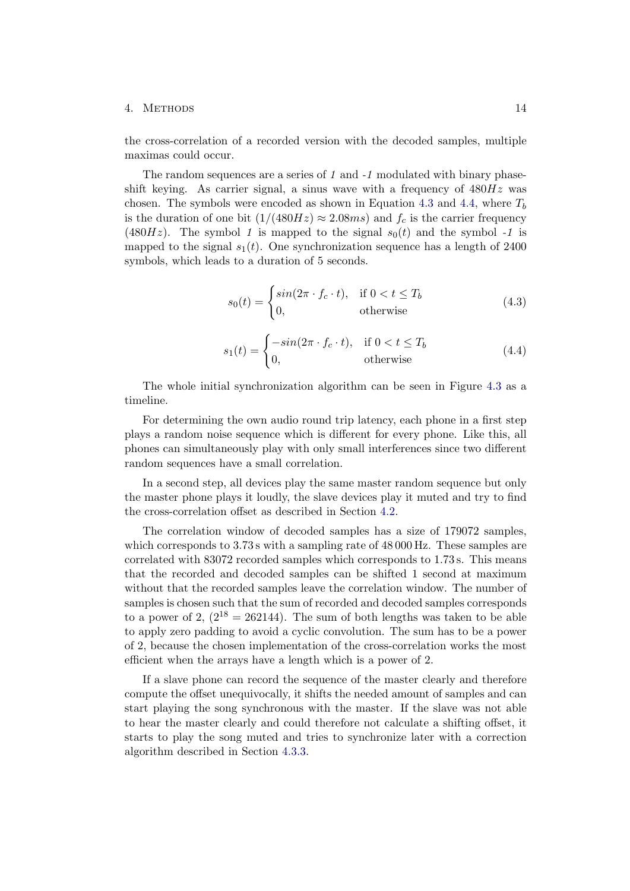the cross-correlation of a recorded version with the decoded samples, multiple maximas could occur.

The random sequences are a series of 1 and  $-1$  modulated with binary phaseshift keying. As carrier signal, a sinus wave with a frequency of  $480Hz$  was chosen. The symbols were encoded as shown in Equation [4.3](#page-17-0) and [4.4,](#page-17-1) where  $T_b$ is the duration of one bit  $(1/(480Hz) \approx 2.08ms)$  and  $f_c$  is the carrier frequency (480Hz). The symbol 1 is mapped to the signal  $s_0(t)$  and the symbol -1 is mapped to the signal  $s_1(t)$ . One synchronization sequence has a length of 2400 symbols, which leads to a duration of 5 seconds.

<span id="page-17-0"></span>
$$
s_0(t) = \begin{cases} \sin(2\pi \cdot f_c \cdot t), & \text{if } 0 < t \le T_b \\ 0, & \text{otherwise} \end{cases}
$$
 (4.3)

<span id="page-17-1"></span>
$$
s_1(t) = \begin{cases} -\sin(2\pi \cdot f_c \cdot t), & \text{if } 0 < t \le T_b \\ 0, & \text{otherwise} \end{cases}
$$
(4.4)

The whole initial synchronization algorithm can be seen in Figure [4.3](#page-18-0) as a timeline.

For determining the own audio round trip latency, each phone in a first step plays a random noise sequence which is different for every phone. Like this, all phones can simultaneously play with only small interferences since two different random sequences have a small correlation.

In a second step, all devices play the same master random sequence but only the master phone plays it loudly, the slave devices play it muted and try to find the cross-correlation offset as described in Section [4.2.](#page-12-0)

The correlation window of decoded samples has a size of 179072 samples, which corresponds to  $3.73$  s with a sampling rate of  $48\,000$  Hz. These samples are correlated with 83072 recorded samples which corresponds to 1.73 s. This means that the recorded and decoded samples can be shifted 1 second at maximum without that the recorded samples leave the correlation window. The number of samples is chosen such that the sum of recorded and decoded samples corresponds to a power of 2,  $(2^{18} = 262144)$ . The sum of both lengths was taken to be able to apply zero padding to avoid a cyclic convolution. The sum has to be a power of 2, because the chosen implementation of the cross-correlation works the most efficient when the arrays have a length which is a power of 2.

If a slave phone can record the sequence of the master clearly and therefore compute the offset unequivocally, it shifts the needed amount of samples and can start playing the song synchronous with the master. If the slave was not able to hear the master clearly and could therefore not calculate a shifting offset, it starts to play the song muted and tries to synchronize later with a correction algorithm described in Section [4.3.3.](#page-19-0)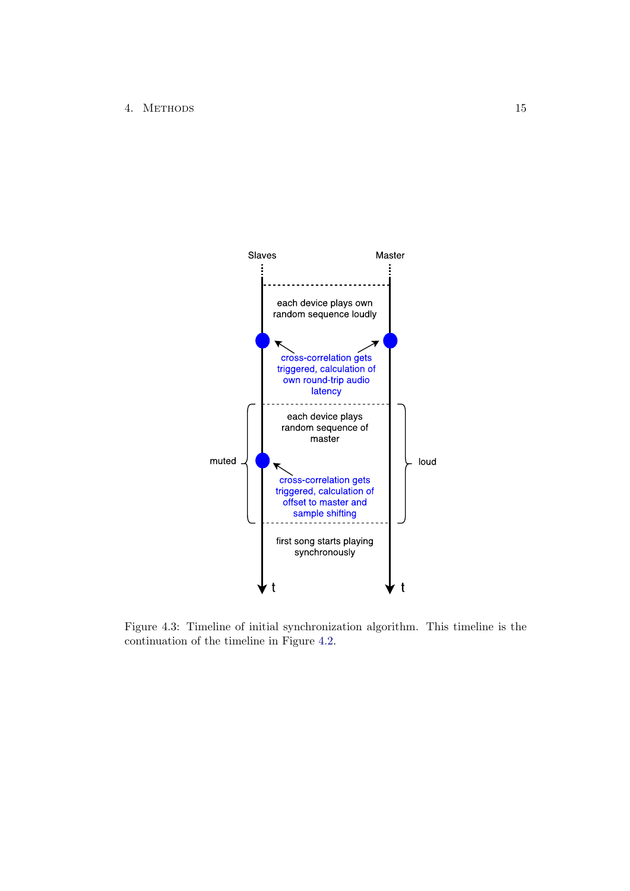

<span id="page-18-0"></span>Figure 4.3: Timeline of initial synchronization algorithm. This timeline is the continuation of the timeline in Figure [4.2.](#page-15-0)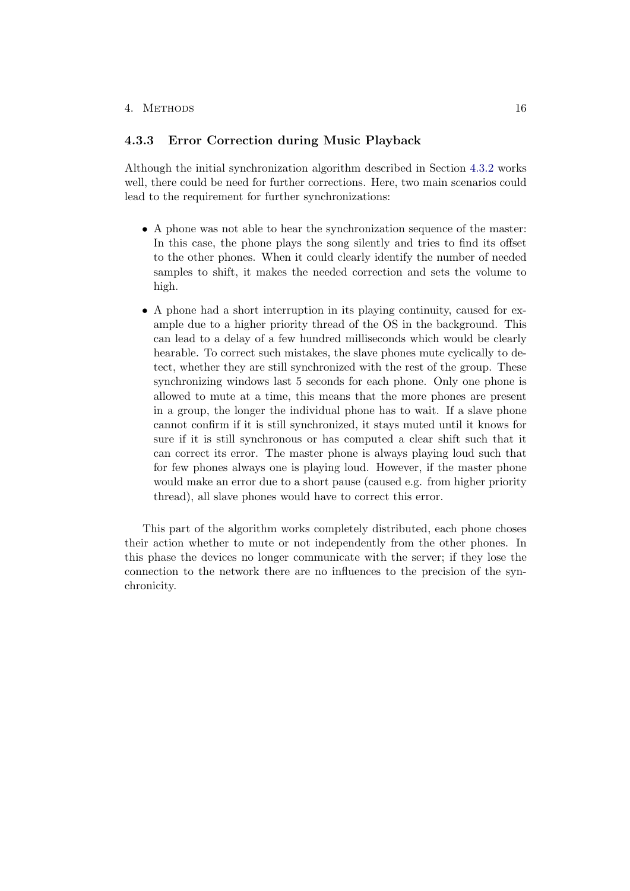#### <span id="page-19-0"></span>4.3.3 Error Correction during Music Playback

Although the initial synchronization algorithm described in Section [4.3.2](#page-16-0) works well, there could be need for further corrections. Here, two main scenarios could lead to the requirement for further synchronizations:

- A phone was not able to hear the synchronization sequence of the master: In this case, the phone plays the song silently and tries to find its offset to the other phones. When it could clearly identify the number of needed samples to shift, it makes the needed correction and sets the volume to high.
- A phone had a short interruption in its playing continuity, caused for example due to a higher priority thread of the OS in the background. This can lead to a delay of a few hundred milliseconds which would be clearly hearable. To correct such mistakes, the slave phones mute cyclically to detect, whether they are still synchronized with the rest of the group. These synchronizing windows last 5 seconds for each phone. Only one phone is allowed to mute at a time, this means that the more phones are present in a group, the longer the individual phone has to wait. If a slave phone cannot confirm if it is still synchronized, it stays muted until it knows for sure if it is still synchronous or has computed a clear shift such that it can correct its error. The master phone is always playing loud such that for few phones always one is playing loud. However, if the master phone would make an error due to a short pause (caused e.g. from higher priority thread), all slave phones would have to correct this error.

This part of the algorithm works completely distributed, each phone choses their action whether to mute or not independently from the other phones. In this phase the devices no longer communicate with the server; if they lose the connection to the network there are no influences to the precision of the synchronicity.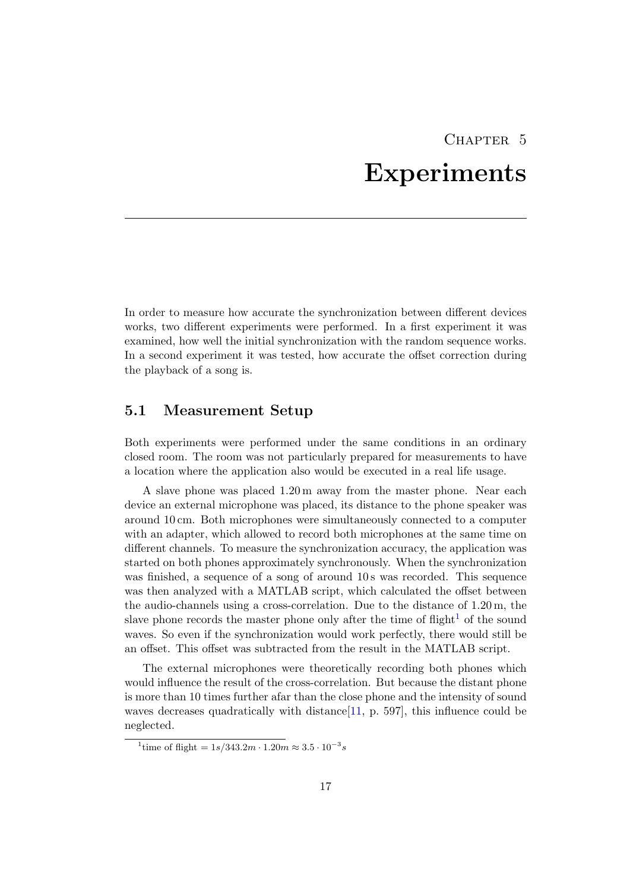# CHAPTER 5 Experiments

<span id="page-20-0"></span>In order to measure how accurate the synchronization between different devices works, two different experiments were performed. In a first experiment it was examined, how well the initial synchronization with the random sequence works. In a second experiment it was tested, how accurate the offset correction during the playback of a song is.

### <span id="page-20-1"></span>5.1 Measurement Setup

Both experiments were performed under the same conditions in an ordinary closed room. The room was not particularly prepared for measurements to have a location where the application also would be executed in a real life usage.

A slave phone was placed 1.20 m away from the master phone. Near each device an external microphone was placed, its distance to the phone speaker was around 10 cm. Both microphones were simultaneously connected to a computer with an adapter, which allowed to record both microphones at the same time on different channels. To measure the synchronization accuracy, the application was started on both phones approximately synchronously. When the synchronization was finished, a sequence of a song of around 10s was recorded. This sequence was then analyzed with a MATLAB script, which calculated the offset between the audio-channels using a cross-correlation. Due to the distance of 1.20 m, the slave phone records the master phone only after the time of flight<sup>[1](#page-20-2)</sup> of the sound waves. So even if the synchronization would work perfectly, there would still be an offset. This offset was subtracted from the result in the MATLAB script.

The external microphones were theoretically recording both phones which would influence the result of the cross-correlation. But because the distant phone is more than 10 times further afar than the close phone and the intensity of sound waves decreases quadratically with distance [\[11,](#page-27-11) p. 597], this influence could be neglected.

<span id="page-20-2"></span><sup>&</sup>lt;sup>1</sup>time of flight =  $1s/343.2m \cdot 1.20m \approx 3.5 \cdot 10^{-3}s$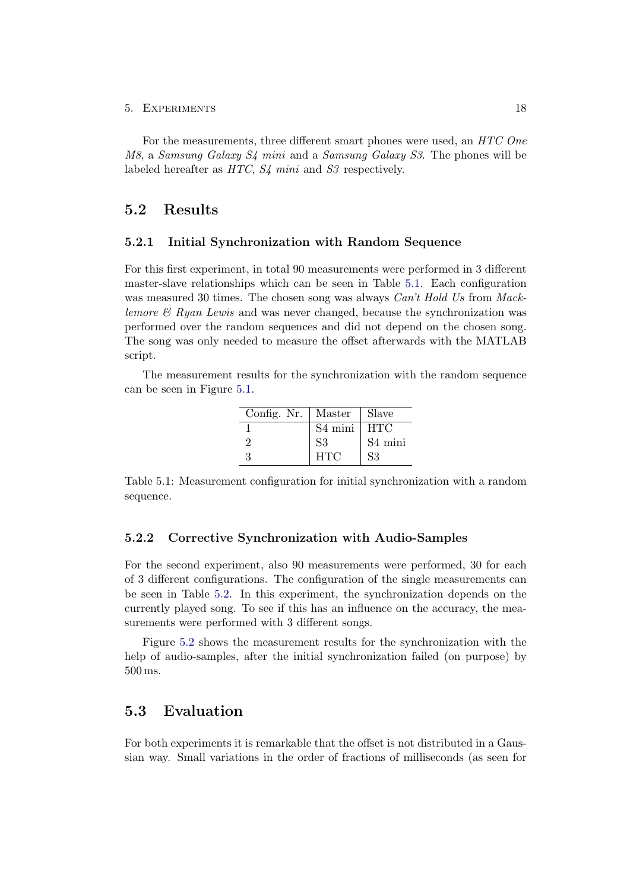#### 5. Experiments 18

For the measurements, three different smart phones were used, an HTC One M8, a Samsung Galaxy S4 mini and a Samsung Galaxy S3. The phones will be labeled hereafter as HTC,  $S_4$  mini and  $S_3$  respectively.

### <span id="page-21-0"></span>5.2 Results

#### <span id="page-21-1"></span>5.2.1 Initial Synchronization with Random Sequence

For this first experiment, in total 90 measurements were performed in 3 different master-slave relationships which can be seen in Table [5.1.](#page-21-4) Each configuration was measured 30 times. The chosen song was always *Can't Hold Us* from *Mack*lemore  $\mathcal{B}$  Ryan Lewis and was never changed, because the synchronization was performed over the random sequences and did not depend on the chosen song. The song was only needed to measure the offset afterwards with the MATLAB script.

The measurement results for the synchronization with the random sequence can be seen in Figure [5.1.](#page-22-0)

| Config. Nr. | Master              | Slave               |
|-------------|---------------------|---------------------|
|             | S <sub>4</sub> mini | <b>HTC</b>          |
|             | S <sub>3</sub>      | S <sub>4</sub> mini |
| 3           | <b>HTC</b>          | S3                  |

<span id="page-21-4"></span>Table 5.1: Measurement configuration for initial synchronization with a random sequence.

#### <span id="page-21-2"></span>5.2.2 Corrective Synchronization with Audio-Samples

For the second experiment, also 90 measurements were performed, 30 for each of 3 different configurations. The configuration of the single measurements can be seen in Table [5.2.](#page-22-1) In this experiment, the synchronization depends on the currently played song. To see if this has an influence on the accuracy, the measurements were performed with 3 different songs.

Figure [5.2](#page-23-0) shows the measurement results for the synchronization with the help of audio-samples, after the initial synchronization failed (on purpose) by 500 ms.

### <span id="page-21-3"></span>5.3 Evaluation

For both experiments it is remarkable that the offset is not distributed in a Gaussian way. Small variations in the order of fractions of milliseconds (as seen for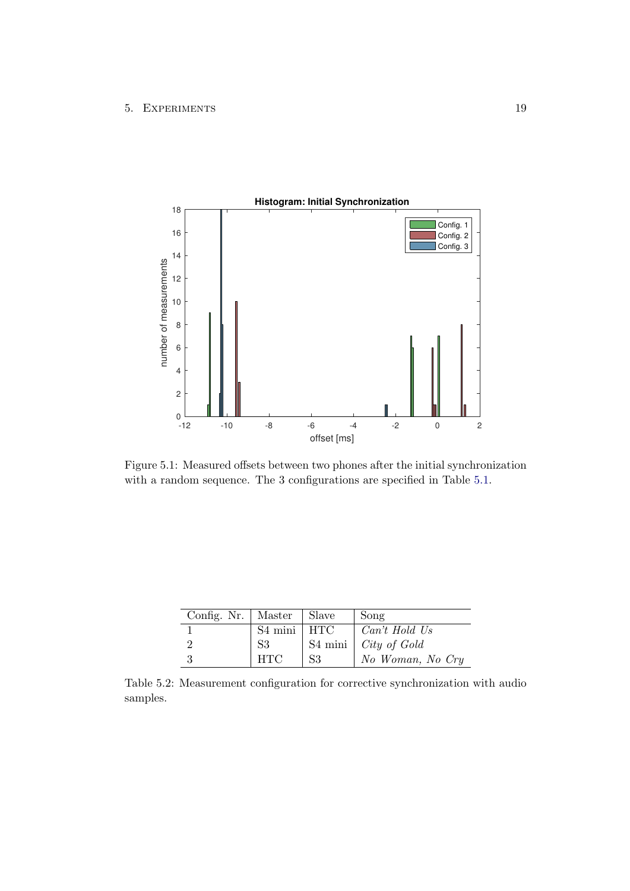#### 5. EXPERIMENTS 19



<span id="page-22-0"></span>Figure 5.1: Measured offsets between two phones after the initial synchronization with a random sequence. The 3 configurations are specified in Table [5.1.](#page-21-4)

| Config. Nr.   Master   Slave |                 |                | Song                          |
|------------------------------|-----------------|----------------|-------------------------------|
|                              | $S4$ mini   HTC |                | Can't Hold Us                 |
|                              | S <sub>3</sub>  |                | S4 mini $\int City\ of\ Gold$ |
|                              | <b>HTC</b>      | S <sub>3</sub> | No Woman, No Cry              |

<span id="page-22-1"></span>Table 5.2: Measurement configuration for corrective synchronization with audio samples.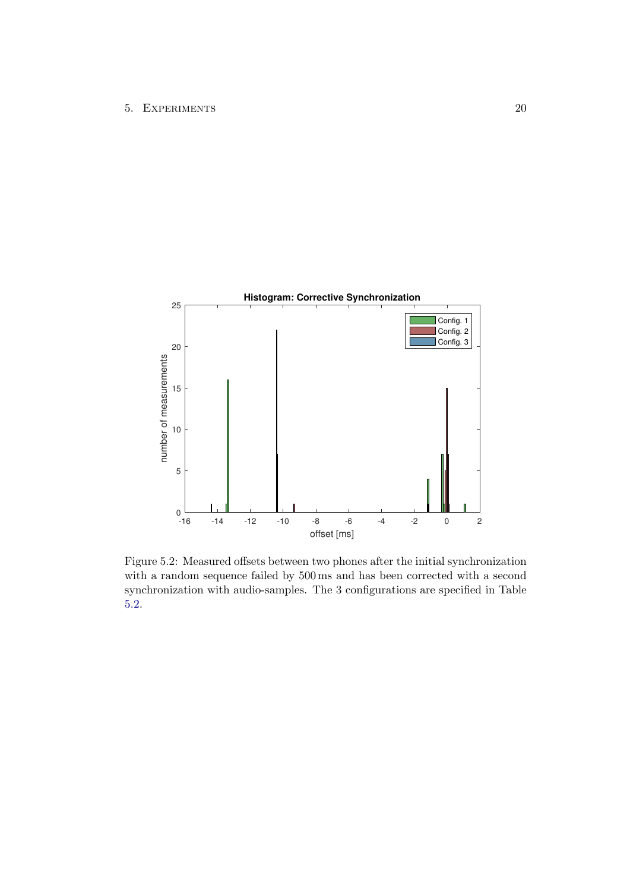

<span id="page-23-0"></span>Figure 5.2: Measured offsets between two phones after the initial synchronization with a random sequence failed by 500 ms and has been corrected with a second synchronization with audio-samples. The 3 configurations are specified in Table [5.2.](#page-22-1)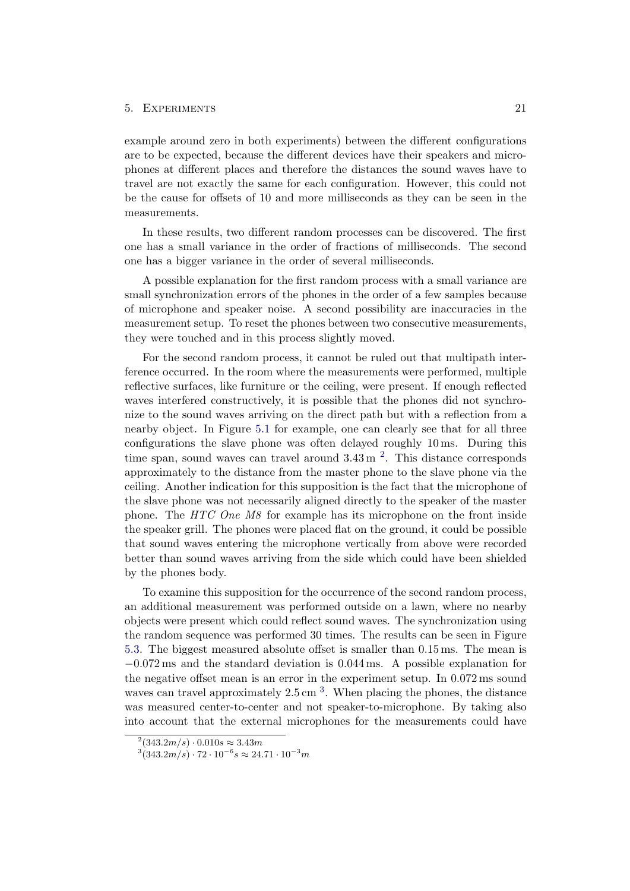#### 5. EXPERIMENTS 21

example around zero in both experiments) between the different configurations are to be expected, because the different devices have their speakers and microphones at different places and therefore the distances the sound waves have to travel are not exactly the same for each configuration. However, this could not be the cause for offsets of 10 and more milliseconds as they can be seen in the measurements.

In these results, two different random processes can be discovered. The first one has a small variance in the order of fractions of milliseconds. The second one has a bigger variance in the order of several milliseconds.

A possible explanation for the first random process with a small variance are small synchronization errors of the phones in the order of a few samples because of microphone and speaker noise. A second possibility are inaccuracies in the measurement setup. To reset the phones between two consecutive measurements, they were touched and in this process slightly moved.

For the second random process, it cannot be ruled out that multipath interference occurred. In the room where the measurements were performed, multiple reflective surfaces, like furniture or the ceiling, were present. If enough reflected waves interfered constructively, it is possible that the phones did not synchronize to the sound waves arriving on the direct path but with a reflection from a nearby object. In Figure [5.1](#page-22-0) for example, one can clearly see that for all three configurations the slave phone was often delayed roughly 10 ms. During this time span, sound waves can travel around  $3.43 \text{ m}^2$  $3.43 \text{ m}^2$ . This distance corresponds approximately to the distance from the master phone to the slave phone via the ceiling. Another indication for this supposition is the fact that the microphone of the slave phone was not necessarily aligned directly to the speaker of the master phone. The HTC One M8 for example has its microphone on the front inside the speaker grill. The phones were placed flat on the ground, it could be possible that sound waves entering the microphone vertically from above were recorded better than sound waves arriving from the side which could have been shielded by the phones body.

To examine this supposition for the occurrence of the second random process, an additional measurement was performed outside on a lawn, where no nearby objects were present which could reflect sound waves. The synchronization using the random sequence was performed 30 times. The results can be seen in Figure [5.3.](#page-25-1) The biggest measured absolute offset is smaller than 0.15 ms. The mean is −0.072 ms and the standard deviation is 0.044 ms. A possible explanation for the negative offset mean is an error in the experiment setup. In 0.072 ms sound waves can travel approximately  $2.5 \text{ cm}^{-3}$  $2.5 \text{ cm}^{-3}$  $2.5 \text{ cm}^{-3}$ . When placing the phones, the distance was measured center-to-center and not speaker-to-microphone. By taking also into account that the external microphones for the measurements could have

<span id="page-24-0"></span> $^{2}(343.2m/s) \cdot 0.010s \approx 3.43m$ 

<span id="page-24-1"></span> $3(343.2m/s)\cdot 72\cdot 10^{-6}s \approx 24.71\cdot 10^{-3}m$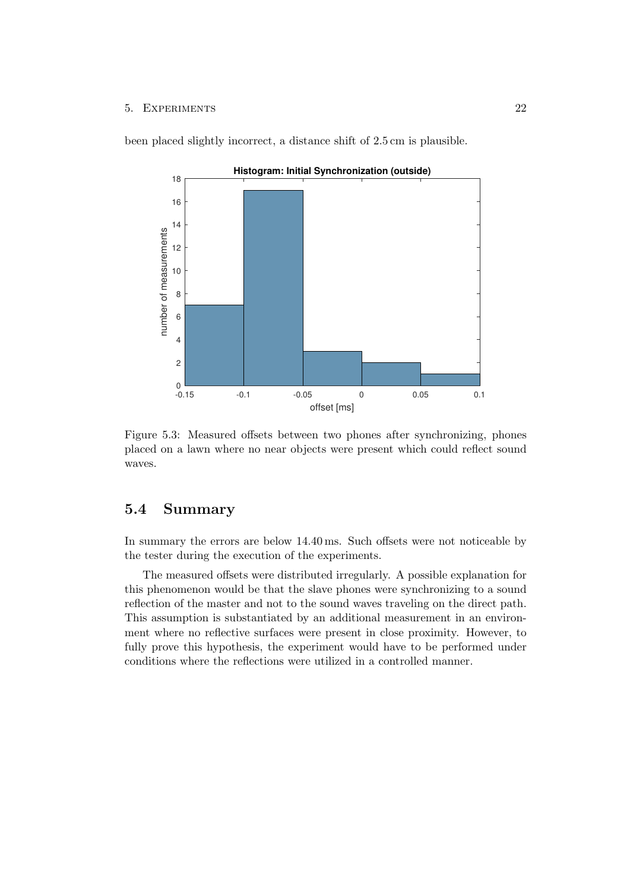#### 5. Experiments 22

been placed slightly incorrect, a distance shift of 2.5 cm is plausible.



<span id="page-25-1"></span>Figure 5.3: Measured offsets between two phones after synchronizing, phones placed on a lawn where no near objects were present which could reflect sound waves.

# <span id="page-25-0"></span>5.4 Summary

In summary the errors are below 14.40 ms. Such offsets were not noticeable by the tester during the execution of the experiments.

The measured offsets were distributed irregularly. A possible explanation for this phenomenon would be that the slave phones were synchronizing to a sound reflection of the master and not to the sound waves traveling on the direct path. This assumption is substantiated by an additional measurement in an environment where no reflective surfaces were present in close proximity. However, to fully prove this hypothesis, the experiment would have to be performed under conditions where the reflections were utilized in a controlled manner.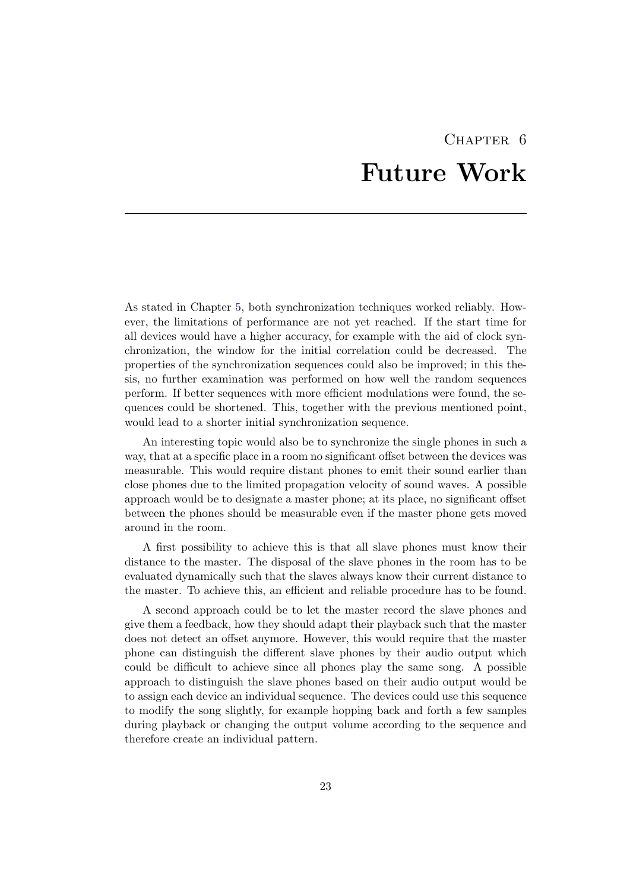# CHAPTER<sub>6</sub> Future Work

<span id="page-26-0"></span>As stated in Chapter [5,](#page-20-0) both synchronization techniques worked reliably. However, the limitations of performance are not yet reached. If the start time for all devices would have a higher accuracy, for example with the aid of clock synchronization, the window for the initial correlation could be decreased. The properties of the synchronization sequences could also be improved; in this thesis, no further examination was performed on how well the random sequences perform. If better sequences with more efficient modulations were found, the sequences could be shortened. This, together with the previous mentioned point, would lead to a shorter initial synchronization sequence.

An interesting topic would also be to synchronize the single phones in such a way, that at a specific place in a room no significant offset between the devices was measurable. This would require distant phones to emit their sound earlier than close phones due to the limited propagation velocity of sound waves. A possible approach would be to designate a master phone; at its place, no significant offset between the phones should be measurable even if the master phone gets moved around in the room.

A first possibility to achieve this is that all slave phones must know their distance to the master. The disposal of the slave phones in the room has to be evaluated dynamically such that the slaves always know their current distance to the master. To achieve this, an efficient and reliable procedure has to be found.

A second approach could be to let the master record the slave phones and give them a feedback, how they should adapt their playback such that the master does not detect an offset anymore. However, this would require that the master phone can distinguish the different slave phones by their audio output which could be difficult to achieve since all phones play the same song. A possible approach to distinguish the slave phones based on their audio output would be to assign each device an individual sequence. The devices could use this sequence to modify the song slightly, for example hopping back and forth a few samples during playback or changing the output volume according to the sequence and therefore create an individual pattern.